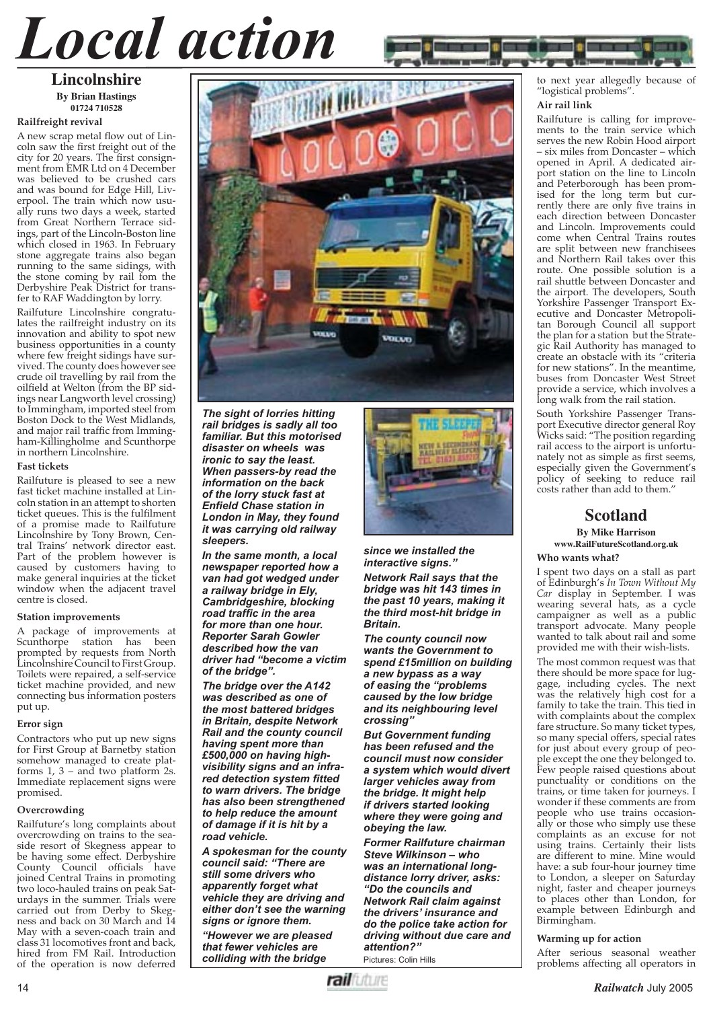# *Local action*

#### **Lincolnshire By Brian Hastings 01724 710528**

#### **Railfreight revival**

A new scrap metal flow out of Lincoln saw the first freight out of the city for 20 years. The first consignment from EMR Ltd on 4 December was believed to be crushed cars and was bound for Edge Hill, Liverpool. The train which now usually runs two days a week, started from Great Northern Terrace sidings, part of the Lincoln-Boston line which closed in 1963. In February stone aggregate trains also began running to the same sidings, with the stone coming by rail fom the Derbyshire Peak District for transfer to RAF Waddington by lorry.

Railfuture Lincolnshire congratulates the railfreight industry on its innovation and ability to spot new business opportunities in a county where few freight sidings have survived. The county does however see crude oil travelling by rail from the oilfield at Welton (from the BP sidings near Langworth level crossing) to Immingham, imported steel from Boston Dock to the West Midlands, and major rail traffic from Immingham-Killingholme and Scunthorpe in northern Lincolnshire.

#### **Fast tickets**

Railfuture is pleased to see a new fast ticket machine installed at Lincoln station in an attempt to shorten ticket queues. This is the fulfilment of a promise made to Railfuture Lincolnshire by Tony Brown, Central Trains' network director east. Part of the problem however is caused by customers having to make general inquiries at the ticket window when the adjacent travel centre is closed.

#### **Station improvements**

A package of improvements at Scunthorpe station has been prompted by requests from North Lincolnshire Council to First Group. Toilets were repaired, a self-service ticket machine provided, and new connecting bus information posters put up.

#### **Error sign**

Contractors who put up new signs for First Group at Barnetby station somehow managed to create platforms 1, 3 – and two platform 2s. Immediate replacement signs were promised.

#### **Overcrowding**

Railfuture's long complaints about overcrowding on trains to the seaside resort of Skegness appear to be having some effect. Derbyshire County Council officials have joined Central Trains in promoting two loco-hauled trains on peak Saturdays in the summer. Trials were carried out from Derby to Skegness and back on 30 March and 14 May with a seven-coach train and class 31 locomotives front and back, hired from FM Rail. Introduction of the operation is now deferred



*The sight of lorries hitting rail bridges is sadly all too familiar. But this motorised disaster on wheels was ironic to say the least. When passers-by read the information on the back of the lorry stuck fast at Enfield Chase station in London in May, they found it was carrying old railway sleepers.*

*In the same month, a local newspaper reported how a van had got wedged under a railway bridge in Ely, Cambridgeshire, blocking road traffic in the area for more than one hour. Reporter Sarah Gowler described how the van driver had "become a victim of the bridge".* 

*The bridge over the A142 was described as one of the most battered bridges in Britain, despite Network Rail and the county council having spent more than £500,000 on having highvisibility signs and an infra* $red$  detection system fitted *to warn drivers. The bridge has also been strengthened to help reduce the amount of damage if it is hit by a road vehicle.*

*A spokesman for the county council said: "There are still some drivers who apparently forget what vehicle they are driving and either don't see the warning signs or ignore them.*

*"However we are pleased that fewer vehicles are colliding with the bridge* 



*since we installed the interactive signs."*

*Network Rail says that the bridge was hit 143 times in the past 10 years, making it the third most-hit bridge in Britain.*

*The county council now wants the Government to spend £15million on building a new bypass as a way of easing the "problems caused by the low bridge and its neighbouring level crossing"*

*But Government funding has been refused and the council must now consider a system which would divert larger vehicles away from the bridge. It might help if drivers started looking where they were going and obeying the law.*

*Former Railfuture chairman Steve Wilkinson – who was an international longdistance lorry driver, asks: "Do the councils and Network Rail claim against the drivers' insurance and do the police take action for driving without due care and attention?"*

Pictures: Colin Hills

to next year allegedly because of "logistical problems".

#### **Air rail link**

Railfuture is calling for improvements to the train service which serves the new Robin Hood airport – six miles from Doncaster – which opened in April. A dedicated airport station on the line to Lincoln and Peterborough has been promised for the long term but currently there are only five trains in each direction between Doncaster and Lincoln. Improvements could come when Central Trains routes are split between new franchisees and Northern Rail takes over this route. One possible solution is a rail shuttle between Doncaster and the airport. The developers, South Yorkshire Passenger Transport Executive and Doncaster Metropolitan Borough Council all support the plan for a station but the Strategic Rail Authority has managed to create an obstacle with its "criteria for new stations". In the meantime, buses from Doncaster West Street provide a service, which involves a long walk from the rail station.

South Yorkshire Passenger Transport Executive director general Roy Wicks said: "The position regarding rail access to the airport is unfortunately not as simple as first seems, especially given the Government's policy of seeking to reduce rail costs rather than add to them.'

#### **Scotland By Mike Harrison www.RailFutureScotland.org.uk**

**Who wants what?**

I spent two days on a stall as part of Edinburgh's *In Town Without My Car* display in September. I was wearing several hats, as a cycle campaigner as well as a public transport advocate. Many people wanted to talk about rail and some provided me with their wish-lists.

The most common request was that there should be more space for luggage, including cycles. The next was the relatively high cost for a family to take the train. This tied in with complaints about the complex fare structure. So many ticket types, so many special offers, special rates for just about every group of people except the one they belonged to. Few people raised questions about punctuality or conditions on the trains, or time taken for journeys. I wonder if these comments are from people who use trains occasionally or those who simply use these complaints as an excuse for not using trains. Certainly their lists are different to mine. Mine would have: a sub four-hour journey time to London, a sleeper on Saturday night, faster and cheaper journeys to places other than London, for example between Edinburgh and Birmingham.

#### **Warming up for action**

After serious seasonal weather problems affecting all operators in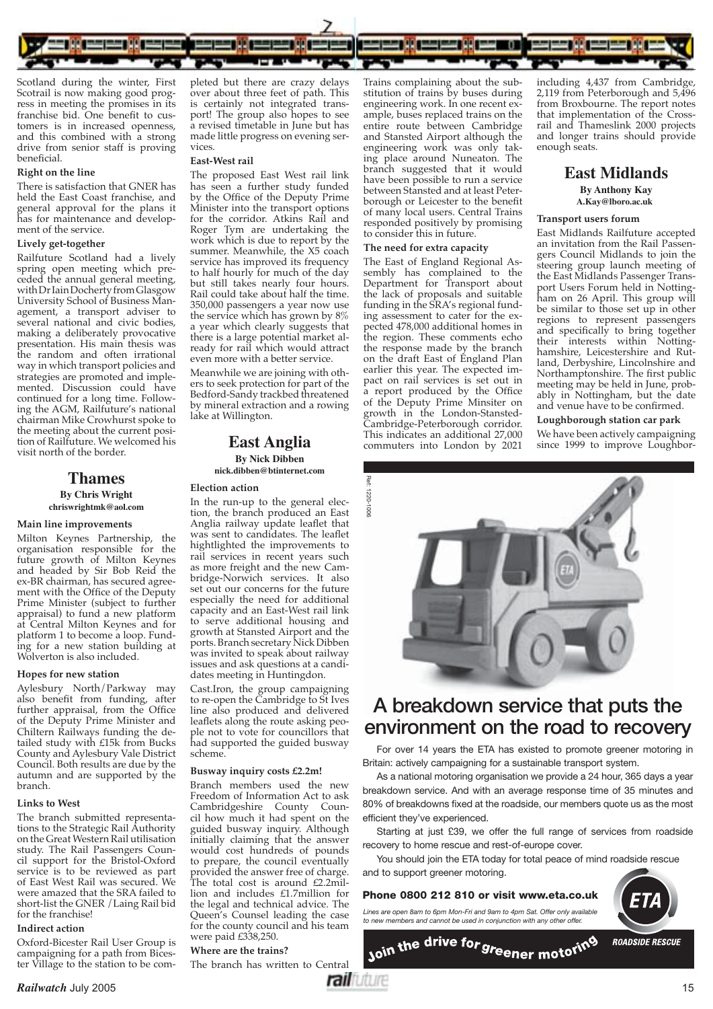

Scotland during the winter, First Scotrail is now making good progress in meeting the promises in its franchise bid. One benefit to customers is in increased openness, and this combined with a strong drive from senior staff is proving beneficial.

#### **Right on the line**

There is satisfaction that GNER has held the East Coast franchise, and general approval for the plans it has for maintenance and development of the service.

#### **Lively get-together**

Railfuture Scotland had a lively spring open meeting which preceded the annual general meeting, with Dr Iain Docherty from Glasgow University School of Business Management, a transport adviser to several national and civic bodies, making a deliberately provocative presentation. His main thesis was the random and often irrational way in which transport policies and strategies are promoted and implemented. Discussion could have continued for a long time. Following the AGM, Railfuture's national chairman Mike Crowhurst spoke to the meeting about the current position of Railfuture. We welcomed his visit north of the border.

#### **Thames By Chris Wright chriswrightmk@aol.com**

#### **Main line improvements**

Milton Keynes Partnership, the organisation responsible for the future growth of Milton Keynes and headed by Sir Bob Reid the ex-BR chairman, has secured agreement with the Office of the Deputy Prime Minister (subject to further appraisal) to fund a new platform at Central Milton Keynes and for platform 1 to become a loop. Funding for a new station building at Wolverton is also included.

#### **Hopes for new station**

Aylesbury North/Parkway may also benefit from funding, after further appraisal, from the Office of the Deputy Prime Minister and Chiltern Railways funding the detailed study with £15k from Bucks County and Aylesbury Vale District Council. Both results are due by the autumn and are supported by the branch.

#### **Links to West**

The branch submitted representations to the Strategic Rail Authority on the Great Western Rail utilisation study. The Rail Passengers Council support for the Bristol-Oxford service is to be reviewed as part of East West Rail was secured. We were amazed that the SRA failed to short-list the GNER /Laing Rail bid for the franchise!

#### **Indirect action**

Oxford-Bicester Rail User Group is campaigning for a path from Bicester Village to the station to be completed but there are crazy delays over about three feet of path. This is certainly not integrated transport! The group also hopes to see a revised timetable in June but has made little progress on evening services

#### **East-West rail**

The proposed East West rail link has seen a further study funded by the Office of the Deputy Prime Minister into the transport options for the corridor. Atkins Rail and Roger Tym are undertaking the work which is due to report by the summer. Meanwhile, the X5 coach service has improved its frequency to half hourly for much of the day but still takes nearly four hours. Rail could take about half the time. 350,000 passengers a year now use the service which has grown by 8% a year which clearly suggests that there is a large potential market already for rail which would attract even more with a better service.

Meanwhile we are joining with others to seek protection for part of the Bedford-Sandy trackbed threatened by mineral extraction and a rowing lake at Willington.

#### **East Anglia By Nick Dibben nick.dibben@btinternet.com**

#### **Election action**

In the run-up to the general election, the branch produced an East Anglia railway update leaflet that was sent to candidates. The leaflet hightlighted the improvements to rail services in recent years such as more freight and the new Cambridge-Norwich services. It also set out our concerns for the future especially the need for additional capacity and an East-West rail link to serve additional housing and growth at Stansted Airport and the ports. Branch secretary Nick Dibben was invited to speak about railway issues and ask questions at a candidates meeting in Huntingdon.

Cast.Iron, the group campaigning to re-open the Cambridge to St Ives line also produced and delivered leaflets along the route asking people not to vote for councillors that had supported the guided busway scheme.

#### **Busway inquiry costs £2.2m!**

Branch members used the new Freedom of Information Act to ask Cambridgeshire County Council how much it had spent on the guided busway inquiry. Although initially claiming that the answer would cost hundreds of pounds to prepare, the council eventually provided the answer free of charge. The total cost is around £2.2million and includes £1.7million for the legal and technical advice. The Queen's Counsel leading the case for the county council and his team were paid £338,250.

#### **Where are the trains?**

The branch has written to Central

Trains complaining about the substitution of trains by buses during engineering work. In one recent example, buses replaced trains on the entire route between Cambridge and Stansted Airport although the engineering work was only taking place around Nuneaton. The branch suggested that it would have been possible to run a service between Stansted and at least Peterborough or Leicester to the benefit of many local users. Central Trains responded positively by promising to consider this in future.

#### **The need for extra capacity**

The East of England Regional Assembly has complained to the Department for Transport about the lack of proposals and suitable funding in the SRA's regional funding assessment to cater for the expected 478,000 additional homes in the region. These comments echo the response made by the branch on the draft East of England Plan earlier this year. The expected impact on rail services is set out in a report produced by the Office of the Deputy Prime Minsiter on growth in the London-Stansted-Cambridge-Peterborough corridor. This indicates an additional 27,000 commuters into London by 2021

including 4,437 from Cambridge, 2,119 from Peterborough and 5,496 from Broxbourne. The report notes that implementation of the Crossrail and Thameslink 2000 projects and longer trains should provide enough seats.

#### **East Midlands By Anthony Kay A.Kay@lboro.ac.uk**

#### **Transport users forum**

East Midlands Railfuture accepted an invitation from the Rail Passengers Council Midlands to join the steering group launch meeting of the East Midlands Passenger Transport Users Forum held in Nottingham on 26 April. This group will be similar to those set up in other regions to represent passengers and specifically to bring together their interests within Nottinghamshire, Leicestershire and Rutland, Derbyshire, Lincolnshire and Northamptonshire. The first public meeting may be held in June, probably in Nottingham, but the date and venue have to be confirmed.

#### **Loughborough station car park**

We have been actively campaigning since 1999 to improve Loughbor-



## **A breakdown service that puts the**

For over 14 years the ETA has existed to promote greener motoring in Britain: actively campaigning for a sustainable transport system.

As a national motoring organisation we provide a 24 hour, 365 days a year breakdown service. And with an average response time of 35 minutes and 80% of breakdowns fixed at the roadside, our members quote us as the most efficient they've experienced.

Starting at just £39, we offer the full range of services from roadside recovery to home rescue and rest-of-europe cover.

You should join the ETA today for total peace of mind roadside rescue and to support greener motoring.

#### **Phone 0800 212 810 or visit www.eta.co.uk**

*Lines are open 8am to 6pm Mon-Fri and 9am to 4pm Sat. Offer only available to new members and cannot be used in conjunction with any other offer.*



**ROADSIDE RESCUE** 

Join the drive for greener motoring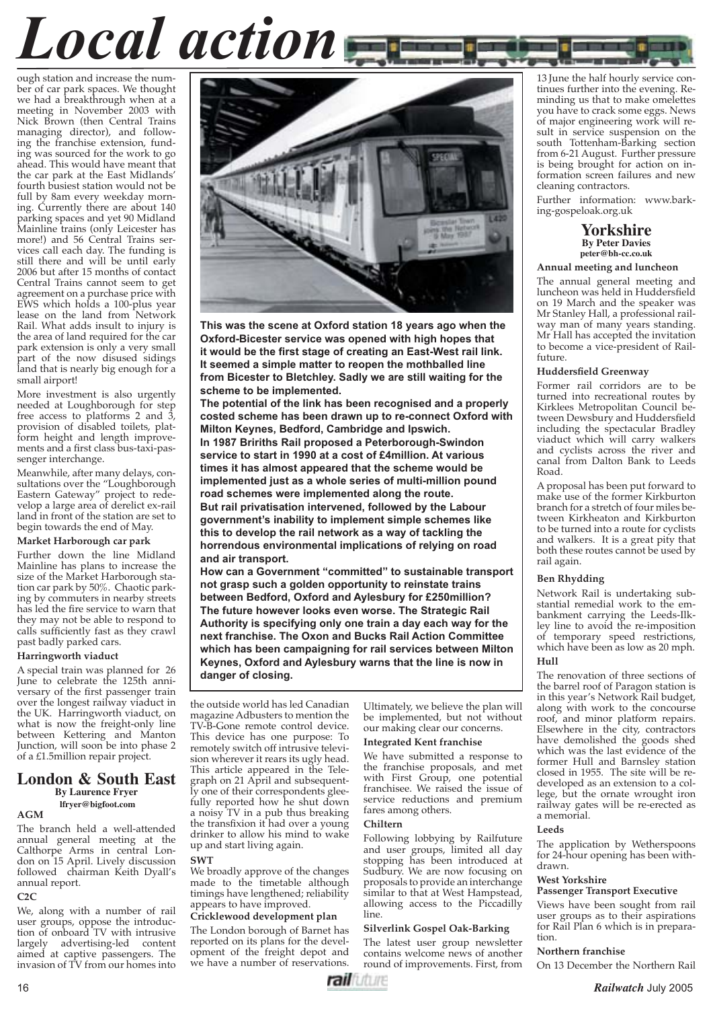# *Local action*

ough station and increase the number of car park spaces. We thought we had a breakthrough when at a meeting in November 2003 with Nick Brown (then Central Trains managing director), and following the franchise extension, funding was sourced for the work to go ahead. This would have meant that the car park at the East Midlands' fourth busiest station would not be full by 8am every weekday morning. Currently there are about 140 parking spaces and yet 90 Midland Mainline trains (only Leicester has more!) and 56 Central Trains services call each day. The funding is still there and will be until early 2006 but after 15 months of contact Central Trains cannot seem to get agreement on a purchase price with EWS which holds a 100-plus year lease on the land from Network Rail. What adds insult to injury is the area of land required for the car park extension is only a very small part of the now disused sidings land that is nearly big enough for a small airport!

More investment is also urgently needed at Loughborough for step free access to platforms 2 and 3, provision of disabled toilets, platform height and length improvements and a first class bus-taxi-passenger interchange.

Meanwhile, after many delays, consultations over the "Loughborough Eastern Gateway" project to redevelop a large area of derelict ex-rail land in front of the station are set to begin towards the end of May.

#### **Market Harborough car park**

Further down the line Midland Mainline has plans to increase the size of the Market Harborough station car park by 50%. Chaotic parking by commuters in nearby streets has led the fire service to warn that they may not be able to respond to calls sufficiently fast as they crawl past badly parked cars.

#### **Harringworth viaduct**

A special train was planned for 26 June to celebrate the 125th anniversary of the first passenger train over the longest railway viaduct in the UK. Harringworth viaduct, on what is now the freight-only line between Kettering and Manton Junction, will soon be into phase 2 of a £1.5million repair project.

#### **London & South East By Laurence Fryer lfryer@bigfoot.com**

#### **AGM**

The branch held a well-attended annual general meeting at the Calthorpe Arms in central London on 15 April. Lively discussion followed chairman Keith Dyall's annual report. **C2C**

We, along with a number of rail user groups, oppose the introduction of onboard TV with intrusive largely advertising-led content aimed at captive passengers. The invasion of TV from our homes into



**This was the scene at Oxford station 18 years ago when the Oxford-Bicester service was opened with high hopes that it would be the first stage of creating an East-West rail link. It seemed a simple matter to reopen the mothballed line from Bicester to Bletchley. Sadly we are still waiting for the scheme to be implemented.**

**The potential of the link has been recognised and a properly costed scheme has been drawn up to re-connect Oxford with Milton Keynes, Bedford, Cambridge and Ipswich. In 1987 Bririths Rail proposed a Peterborough-Swindon service to start in 1990 at a cost of £4million. At various times it has almost appeared that the scheme would be implemented just as a whole series of multi-million pound road schemes were implemented along the route. But rail privatisation intervened, followed by the Labour government's inability to implement simple schemes like this to develop the rail network as a way of tackling the horrendous environmental implications of relying on road and air transport.** 

**How can a Government "committed" to sustainable transport not grasp such a golden opportunity to reinstate trains between Bedford, Oxford and Aylesbury for £250million? The future however looks even worse. The Strategic Rail Authority is specifying only one train a day each way for the next franchise. The Oxon and Bucks Rail Action Committee which has been campaigning for rail services between Milton Keynes, Oxford and Aylesbury warns that the line is now in danger of closing.** 

the outside world has led Canadian magazine Adbusters to mention the TV-B-Gone remote control device. This device has one purpose: To remotely switch off intrusive television wherever it rears its ugly head. This article appeared in the Telegraph on 21 April and subsequently one of their correspondents gleefully reported how he shut down a noisy TV in a pub thus breaking the transfixion it had over a young drinker to allow his mind to wake up and start living again.

#### **SWT**

We broadly approve of the changes made to the timetable although timings have lengthened; reliability appears to have improved.

#### **Cricklewood development plan**

The London borough of Barnet has reported on its plans for the development of the freight depot and we have a number of reservations.

 Ultimately, we believe the plan will be implemented, but not without our making clear our concerns.

#### **Integrated Kent franchise**

We have submitted a response to the franchise proposals, and met with First Group, one potential franchisee. We raised the issue of service reductions and premium fares among others.

#### **Chiltern**

Following lobbying by Railfuture and user groups, limited all day stopping has been introduced at Sudbury. We are now focusing on proposals to provide an interchange similar to that at West Hampstead, allowing access to the Piccadilly line.

#### **Silverlink Gospel Oak-Barking**

The latest user group newsletter contains welcome news of another round of improvements. First, from

13 June the half hourly service continues further into the evening. Reminding us that to make omelettes you have to crack some eggs. News of major engineering work will result in service suspension on the south Tottenham-Barking section from 6-21 August. Further pressure is being brought for action on information screen failures and new cleaning contractors.

Further information: www.barking-gospeloak.org.uk

> **Yorkshire By Peter Davies peter@bh-cc.co.uk**

#### **Annual meeting and luncheon**

The annual general meeting and luncheon was held in Huddersfield on 19 March and the speaker was Mr Stanley Hall, a professional railway man of many years standing. Mr Hall has accepted the invitation to become a vice-president of Railfuture.

#### **Huddersfield Greenway**

Former rail corridors are to be turned into recreational routes by Kirklees Metropolitan Council between Dewsbury and Huddersfield including the spectacular Bradley viaduct which will carry walkers and cyclists across the river and canal from Dalton Bank to Leeds Road.

A proposal has been put forward to make use of the former Kirkburton branch for a stretch of four miles between Kirkheaton and Kirkburton to be turned into a route for cyclists and walkers. It is a great pity that both these routes cannot be used by rail again.

#### **Ben Rhydding**

Network Rail is undertaking substantial remedial work to the embankment carrying the Leeds-Ilkley line to avoid the re-imposition of temporary speed restrictions, which have been as low as 20 mph. **Hull**

The renovation of three sections of the barrel roof of Paragon station is in this year's Network Rail budget, along with work to the concourse roof, and minor platform repairs. Elsewhere in the city, contractors have demolished the goods shed which was the last evidence of the former Hull and Barnsley station closed in 1955. The site will be redeveloped as an extension to a college, but the ornate wrought iron railway gates will be re-erected as a memorial.

#### **Leeds**

tion.

The application by Wetherspoons for 24-hour opening has been withdrawn.

#### **West Yorkshire Passenger Transport Executive**

#### Views have been sought from rail user groups as to their aspirations for Rail Plan 6 which is in prepara-

#### **Northern franchise**

On 13 December the Northern Rail

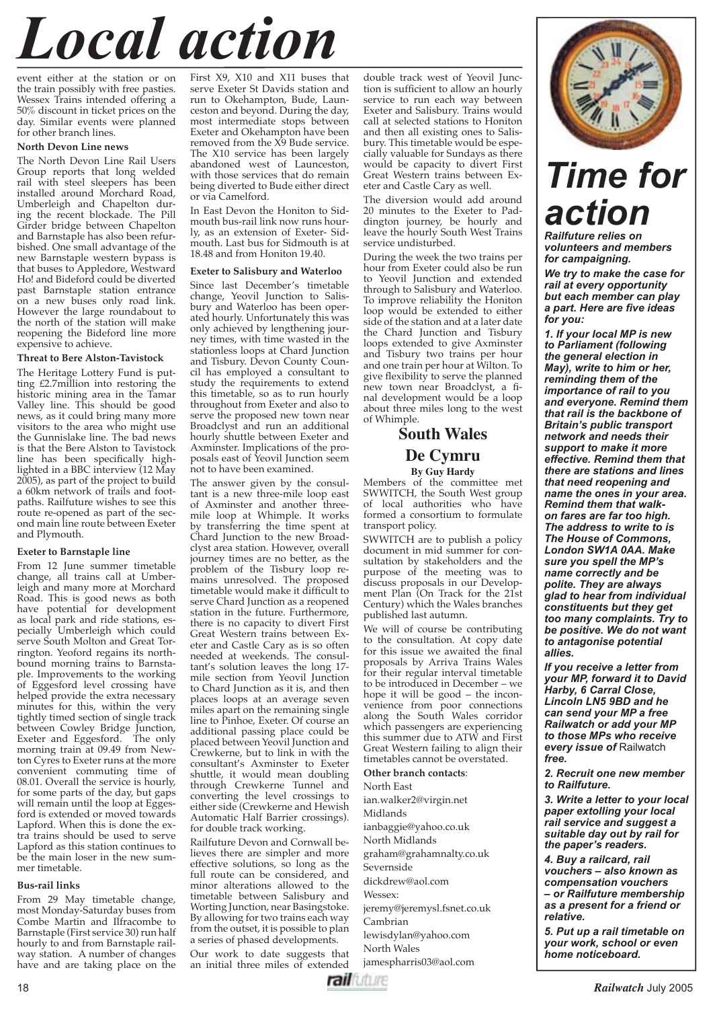# *Local action*

event either at the station or on the train possibly with free pasties. Wessex Trains intended offering a 50% discount in ticket prices on the day. Similar events were planned for other branch lines.

#### **North Devon Line news**

The North Devon Line Rail Users Group reports that long welded rail with steel sleepers has been installed around Morchard Road, Umberleigh and Chapelton during the recent blockade. The Pill Girder bridge between Chapelton and Barnstaple has also been refurbished. One small advantage of the new Barnstaple western bypass is that buses to Appledore, Westward Ho! and Bideford could be diverted past Barnstaple station entrance on a new buses only road link. However the large roundabout to the north of the station will make reopening the Bideford line more expensive to achieve.

#### **Threat to Bere Alston-Tavistock**

The Heritage Lottery Fund is putting £2.7million into restoring the historic mining area in the Tamar Valley line. This should be good news, as it could bring many more visitors to the area who might use the Gunnislake line. The bad news is that the Bere Alston to Tavistock line has been specifically highlighted in a BBC interview (12 May 2005), as part of the project to build a 60km network of trails and footpaths. Railfuture wishes to see this route re-opened as part of the second main line route between Exeter and Plymouth.

#### **Exeter to Barnstaple line**

From 12 June summer timetable change, all trains call at Umberleigh and many more at Morchard Road. This is good news as both have potential for development as local park and ride stations, especially Umberleigh which could serve South Molton and Great Torrington. Yeoford regains its northbound morning trains to Barnstaple. Improvements to the working of Eggesford level crossing have helped provide the extra necessary minutes for this, within the very tightly timed section of single track between Cowley Bridge Junction,<br>Exeter and Eggesford. The only Exeter and Eggesford. morning train at 09.49 from Newton Cyres to Exeter runs at the more convenient commuting time of 08.01. Overall the service is hourly, for some parts of the day, but gaps will remain until the loop at Eggesford is extended or moved towards Lapford. When this is done the extra trains should be used to serve Lapford as this station continues to be the main loser in the new summer timetable.

#### **Bus-rail links**

From 29 May timetable change, most Monday-Saturday buses from Combe Martin and Ilfracombe to Barnstaple (First service 30) run half hourly to and from Barnstaple railway station. A number of changes have and are taking place on the

First X9, X10 and X11 buses that serve Exeter St Davids station and run to Okehampton, Bude, Launceston and beyond. During the day, most intermediate stops between Exeter and Okehampton have been removed from the  $\overline{X}9$  Bude service. The X10 service has been largely abandoned west of Launceston, with those services that do remain being diverted to Bude either direct or via Camelford.

In East Devon the Honiton to Sidmouth bus-rail link now runs hourly, as an extension of Exeter- Sidmouth. Last bus for Sidmouth is at 18.48 and from Honiton 19.40.

#### **Exeter to Salisbury and Waterloo**

Since last December's timetable change, Yeovil Junction to Salisbury and Waterloo has been operated hourly. Unfortunately this was only achieved by lengthening journey times, with time wasted in the stationless loops at Chard Junction and Tisbury. Devon County Council has employed a consultant to study the requirements to extend this timetable, so as to run hourly throughout from Exeter and also to serve the proposed new town near Broadclyst and run an additional hourly shuttle between Exeter and Axminster. Implications of the proposals east of Yeovil Junction seem not to have been examined.

The answer given by the consultant is a new three-mile loop east of Axminster and another threemile loop at Whimple. It works by transferring the time spent at Chard Junction to the new Broadclyst area station. However, overall journey times are no better, as the problem of the Tisbury loop remains unresolved. The proposed timetable would make it difficult to serve Chard Junction as a reopened station in the future. Furthermore, there is no capacity to divert First Great Western trains between Exeter and Castle Cary as is so often needed at weekends. The consultant's solution leaves the long 17 mile section from Yeovil Junction to Chard Junction as it is, and then places loops at an average seven miles apart on the remaining single line to Pinhoe, Exeter. Of course an additional passing place could be placed between Yeovil Junction and Crewkerne, but to link in with the consultant's Axminster to Exeter shuttle, it would mean doubling through Crewkerne Tunnel and converting the level crossings to either side (Crewkerne and Hewish Automatic Half Barrier crossings). for double track working.

Railfuture Devon and Cornwall believes there are simpler and more effective solutions, so long as the full route can be considered, and minor alterations allowed to the timetable between Salisbury and Worting Junction, near Basingstoke. By allowing for two trains each way from the outset, it is possible to plan a series of phased developments.

Our work to date suggests that an initial three miles of extended

double track west of Yeovil Junction is sufficient to allow an hourly service to run each way between Exeter and Salisbury. Trains would call at selected stations to Honiton and then all existing ones to Salisbury. This timetable would be especially valuable for Sundays as there would be capacity to divert First Great Western trains between Exeter and Castle Cary as well.

The diversion would add around 20 minutes to the Exeter to Paddington journey, be hourly and leave the hourly South West Trains service undisturbed.

During the week the two trains per hour from Exeter could also be run to Yeovil Junction and extended through to Salisbury and Waterloo. To improve reliability the Honiton loop would be extended to either side of the station and at a later date the Chard Junction and Tisbury loops extended to give Axminster and Tisbury two trains per hour and one train per hour at Wilton. To give flexibility to serve the planned new town near Broadclyst, a final development would be a loop about three miles long to the west of Whimple.

#### **South Wales De Cymru By Guy Hardy**

Members of the committee met SWWITCH, the South West group of local authorities who have formed a consortium to formulate transport policy.

SWWITCH are to publish a policy document in mid summer for consultation by stakeholders and the purpose of the meeting was to discuss proposals in our Development Plan (On Track for the 21st Century) which the Wales branches published last autumn.

We will of course be contributing to the consultation. At copy date for this issue we awaited the final proposals by Arriva Trains Wales for their regular interval timetable to be introduced in December – we hope it will be good – the inconvenience from poor connections along the South Wales corridor which passengers are experiencing this summer due to ATW and First Great Western failing to align their timetables cannot be overstated.

**Other branch contacts**:

North East ian.walker2@virgin.net Midlands ianbaggie@yahoo.co.uk North Midlands graham@grahamnalty.co.uk Severnside dickdrew@aol.com Wessex: jeremy@jeremysl.fsnet.co.uk Cambrian lewisdylan@yahoo.com North Wales jamespharris03@aol.com



### *Time for action*

*Railfuture relies on volunteers and members for campaigning.* 

*We try to make the case for rail at every opportunity but each member can play a part. Here are fi ve ideas for you:*

*1. If your local MP is new to Parliament (following the general election in May), write to him or her, reminding them of the importance of rail to you and everyone. Remind them that rail is the backbone of Britain's public transport network and needs their support to make it more effective. Remind them that there are stations and lines that need reopening and name the ones in your area. Remind them that walkon fares are far too high. The address to write to is The House of Commons, London SW1A 0AA. Make sure you spell the MP's name correctly and be polite. They are always glad to hear from individual constituents but they get too many complaints. Try to be positive. We do not want to antagonise potential allies.*

*If you receive a letter from your MP, forward it to David Harby, 6 Carral Close, Lincoln LN5 9BD and he can send your MP a free Railwatch or add your MP to those MPs who receive every issue of* Railwatch *free.*

*2. Recruit one new member to Railfuture.*

*3. Write a letter to your local paper extolling your local rail service and suggest a suitable day out by rail for the paper's readers.*

*4. Buy a railcard, rail vouchers – also known as compensation vouchers – or Railfuture membership as a present for a friend or relative.*

*5. Put up a rail timetable on your work, school or even home noticeboard.*